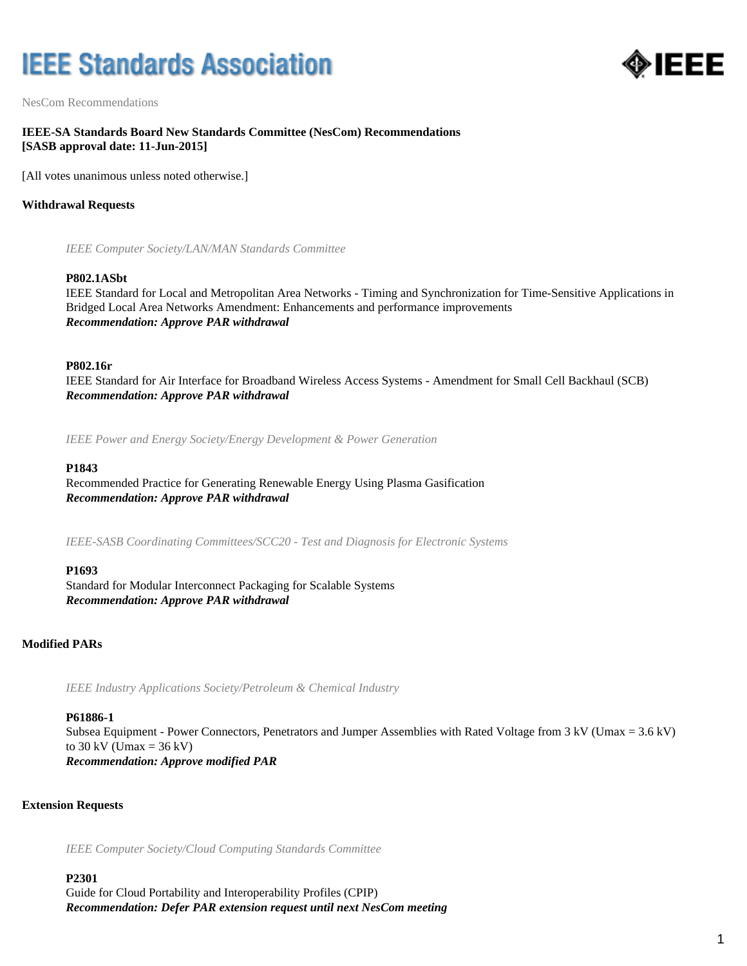# **IEEE Standards Association**



NesCom Recommendations

# **IEEE-SA Standards Board New Standards Committee (NesCom) Recommendations [SASB approval date: 11-Jun-2015]**

[All votes unanimous unless noted otherwise.]

# **Withdrawal Requests**

*IEEE Computer Society/LAN/MAN Standards Committee*

#### **P802.1ASbt**

IEEE Standard for Local and Metropolitan Area Networks - Timing and Synchronization for Time-Sensitive Applications in Bridged Local Area Networks Amendment: Enhancements and performance improvements *Recommendation: Approve PAR withdrawal*

#### **P802.16r**

IEEE Standard for Air Interface for Broadband Wireless Access Systems - Amendment for Small Cell Backhaul (SCB) *Recommendation: Approve PAR withdrawal*

*IEEE Power and Energy Society/Energy Development & Power Generation*

#### **P1843**

Recommended Practice for Generating Renewable Energy Using Plasma Gasification *Recommendation: Approve PAR withdrawal*

*IEEE-SASB Coordinating Committees/SCC20 - Test and Diagnosis for Electronic Systems*

#### **P1693**

Standard for Modular Interconnect Packaging for Scalable Systems *Recommendation: Approve PAR withdrawal*

# **Modified PARs**

*IEEE Industry Applications Society/Petroleum & Chemical Industry*

#### **P61886-1**

Subsea Equipment - Power Connectors, Penetrators and Jumper Assemblies with Rated Voltage from 3 kV (Umax = 3.6 kV) to  $30 \text{ kV}$  (Umax =  $36 \text{ kV}$ ) *Recommendation: Approve modified PAR*

#### **Extension Requests**

*IEEE Computer Society/Cloud Computing Standards Committee*

# **P2301**

Guide for Cloud Portability and Interoperability Profiles (CPIP) *Recommendation: Defer PAR extension request until next NesCom meeting*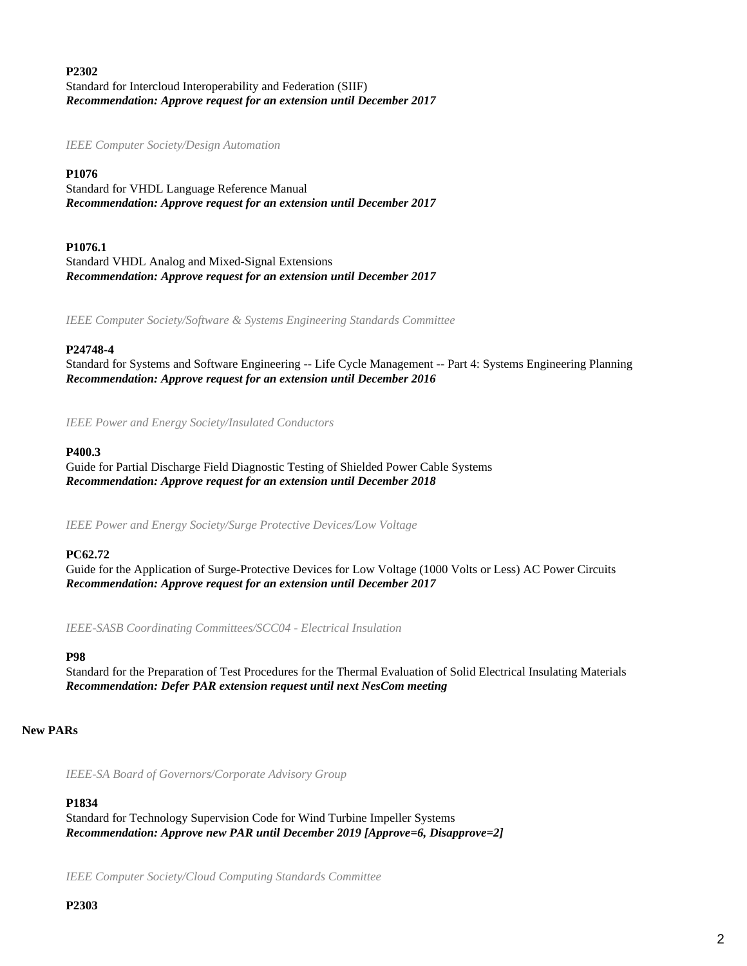# **P2302** Standard for Intercloud Interoperability and Federation (SIIF) *Recommendation: Approve request for an extension until December 2017*

*IEEE Computer Society/Design Automation*

# **P1076**

Standard for VHDL Language Reference Manual *Recommendation: Approve request for an extension until December 2017*

# **P1076.1**

Standard VHDL Analog and Mixed-Signal Extensions *Recommendation: Approve request for an extension until December 2017*

*IEEE Computer Society/Software & Systems Engineering Standards Committee*

# **P24748-4**

Standard for Systems and Software Engineering -- Life Cycle Management -- Part 4: Systems Engineering Planning *Recommendation: Approve request for an extension until December 2016*

*IEEE Power and Energy Society/Insulated Conductors*

# **P400.3**

Guide for Partial Discharge Field Diagnostic Testing of Shielded Power Cable Systems *Recommendation: Approve request for an extension until December 2018*

*IEEE Power and Energy Society/Surge Protective Devices/Low Voltage*

# **PC62.72**

Guide for the Application of Surge-Protective Devices for Low Voltage (1000 Volts or Less) AC Power Circuits *Recommendation: Approve request for an extension until December 2017*

*IEEE-SASB Coordinating Committees/SCC04 - Electrical Insulation*

# **P98**

Standard for the Preparation of Test Procedures for the Thermal Evaluation of Solid Electrical Insulating Materials *Recommendation: Defer PAR extension request until next NesCom meeting*

# **New PARs**

*IEEE-SA Board of Governors/Corporate Advisory Group*

# **P1834**

Standard for Technology Supervision Code for Wind Turbine Impeller Systems *Recommendation: Approve new PAR until December 2019 [Approve=6, Disapprove=2]*

*IEEE Computer Society/Cloud Computing Standards Committee*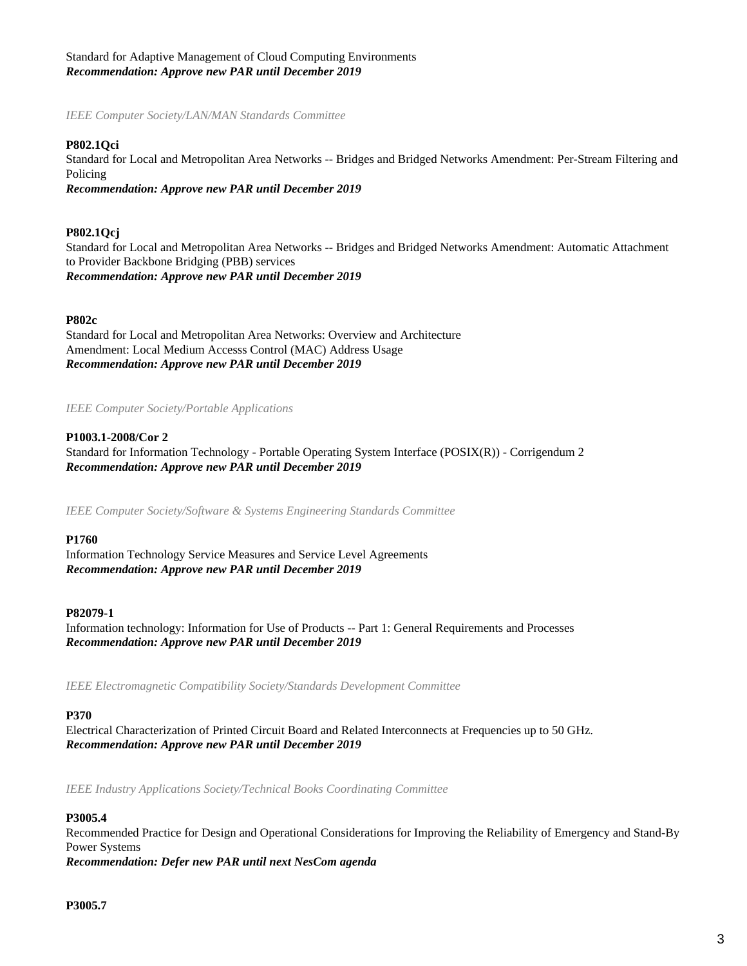# Standard for Adaptive Management of Cloud Computing Environments *Recommendation: Approve new PAR until December 2019*

*IEEE Computer Society/LAN/MAN Standards Committee*

#### **P802.1Qci**

Standard for Local and Metropolitan Area Networks -- Bridges and Bridged Networks Amendment: Per-Stream Filtering and Policing

*Recommendation: Approve new PAR until December 2019*

#### **P802.1Qcj**

Standard for Local and Metropolitan Area Networks -- Bridges and Bridged Networks Amendment: Automatic Attachment to Provider Backbone Bridging (PBB) services *Recommendation: Approve new PAR until December 2019*

#### **P802c**

Standard for Local and Metropolitan Area Networks: Overview and Architecture Amendment: Local Medium Accesss Control (MAC) Address Usage *Recommendation: Approve new PAR until December 2019*

*IEEE Computer Society/Portable Applications*

#### **P1003.1-2008/Cor 2**

Standard for Information Technology - Portable Operating System Interface (POSIX(R)) - Corrigendum 2 *Recommendation: Approve new PAR until December 2019*

*IEEE Computer Society/Software & Systems Engineering Standards Committee*

#### **P1760**

Information Technology Service Measures and Service Level Agreements *Recommendation: Approve new PAR until December 2019*

#### **P82079-1**

Information technology: Information for Use of Products -- Part 1: General Requirements and Processes *Recommendation: Approve new PAR until December 2019*

*IEEE Electromagnetic Compatibility Society/Standards Development Committee*

#### **P370**

Electrical Characterization of Printed Circuit Board and Related Interconnects at Frequencies up to 50 GHz. *Recommendation: Approve new PAR until December 2019*

*IEEE Industry Applications Society/Technical Books Coordinating Committee*

#### **P3005.4**

Recommended Practice for Design and Operational Considerations for Improving the Reliability of Emergency and Stand-By Power Systems *Recommendation: Defer new PAR until next NesCom agenda*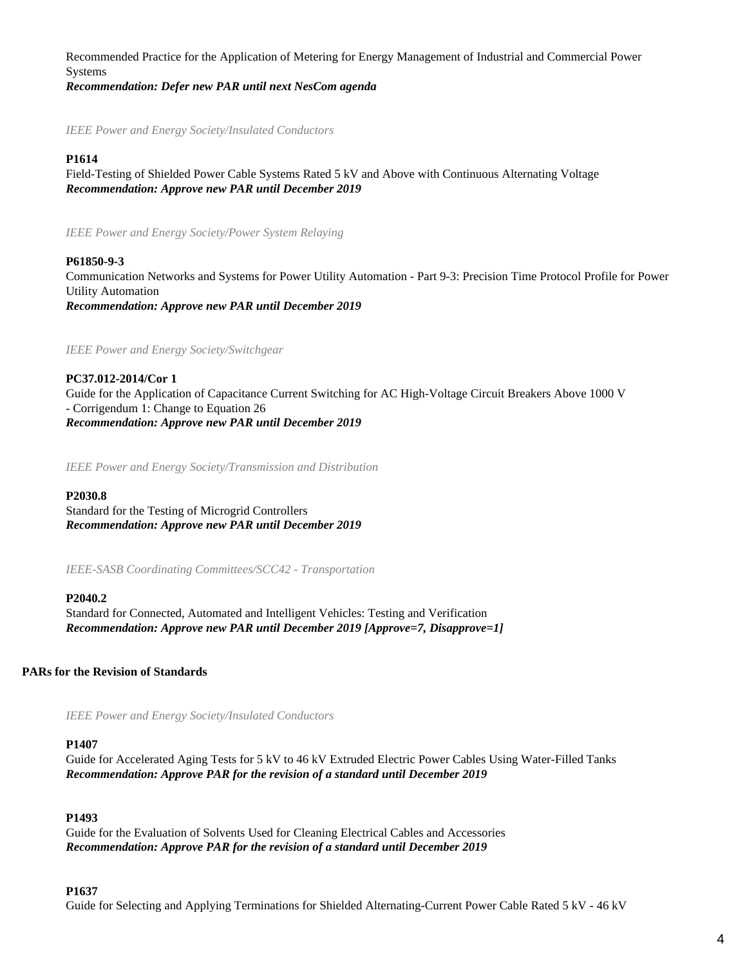Recommended Practice for the Application of Metering for Energy Management of Industrial and Commercial Power Systems

*Recommendation: Defer new PAR until next NesCom agenda*

*IEEE Power and Energy Society/Insulated Conductors*

# **P1614**

Field-Testing of Shielded Power Cable Systems Rated 5 kV and Above with Continuous Alternating Voltage *Recommendation: Approve new PAR until December 2019*

*IEEE Power and Energy Society/Power System Relaying*

# **P61850-9-3**

Communication Networks and Systems for Power Utility Automation - Part 9-3: Precision Time Protocol Profile for Power Utility Automation *Recommendation: Approve new PAR until December 2019*

*IEEE Power and Energy Society/Switchgear*

**PC37.012-2014/Cor 1** Guide for the Application of Capacitance Current Switching for AC High-Voltage Circuit Breakers Above 1000 V - Corrigendum 1: Change to Equation 26 *Recommendation: Approve new PAR until December 2019*

*IEEE Power and Energy Society/Transmission and Distribution*

# **P2030.8**

Standard for the Testing of Microgrid Controllers *Recommendation: Approve new PAR until December 2019*

*IEEE-SASB Coordinating Committees/SCC42 - Transportation*

# **P2040.2**

Standard for Connected, Automated and Intelligent Vehicles: Testing and Verification *Recommendation: Approve new PAR until December 2019 [Approve=7, Disapprove=1]*

# **PARs for the Revision of Standards**

*IEEE Power and Energy Society/Insulated Conductors*

# **P1407**

Guide for Accelerated Aging Tests for 5 kV to 46 kV Extruded Electric Power Cables Using Water-Filled Tanks *Recommendation: Approve PAR for the revision of a standard until December 2019*

# **P1493**

Guide for the Evaluation of Solvents Used for Cleaning Electrical Cables and Accessories *Recommendation: Approve PAR for the revision of a standard until December 2019*

# **P1637**

Guide for Selecting and Applying Terminations for Shielded Alternating-Current Power Cable Rated 5 kV - 46 kV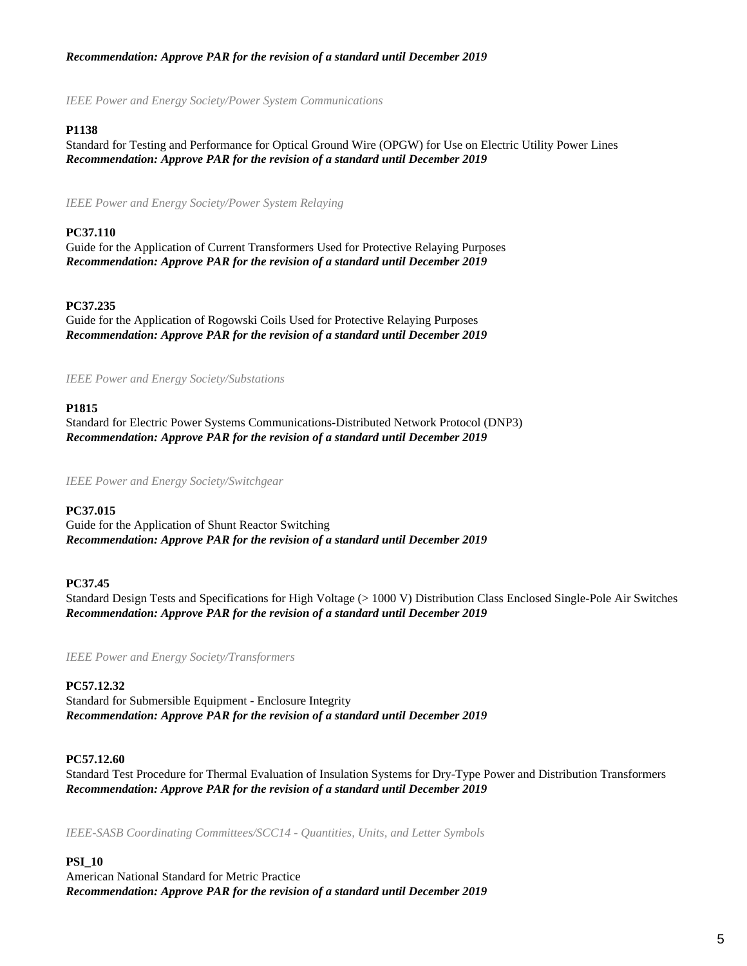# *Recommendation: Approve PAR for the revision of a standard until December 2019*

*IEEE Power and Energy Society/Power System Communications*

# **P1138**

Standard for Testing and Performance for Optical Ground Wire (OPGW) for Use on Electric Utility Power Lines *Recommendation: Approve PAR for the revision of a standard until December 2019*

*IEEE Power and Energy Society/Power System Relaying*

# **PC37.110**

Guide for the Application of Current Transformers Used for Protective Relaying Purposes *Recommendation: Approve PAR for the revision of a standard until December 2019*

# **PC37.235**

Guide for the Application of Rogowski Coils Used for Protective Relaying Purposes *Recommendation: Approve PAR for the revision of a standard until December 2019*

*IEEE Power and Energy Society/Substations*

# **P1815**

Standard for Electric Power Systems Communications-Distributed Network Protocol (DNP3) *Recommendation: Approve PAR for the revision of a standard until December 2019*

*IEEE Power and Energy Society/Switchgear*

# **PC37.015**

Guide for the Application of Shunt Reactor Switching *Recommendation: Approve PAR for the revision of a standard until December 2019*

# **PC37.45**

Standard Design Tests and Specifications for High Voltage (> 1000 V) Distribution Class Enclosed Single-Pole Air Switches *Recommendation: Approve PAR for the revision of a standard until December 2019*

*IEEE Power and Energy Society/Transformers*

# **PC57.12.32**

Standard for Submersible Equipment - Enclosure Integrity *Recommendation: Approve PAR for the revision of a standard until December 2019*

# **PC57.12.60**

Standard Test Procedure for Thermal Evaluation of Insulation Systems for Dry-Type Power and Distribution Transformers *Recommendation: Approve PAR for the revision of a standard until December 2019*

*IEEE-SASB Coordinating Committees/SCC14 - Quantities, Units, and Letter Symbols*

#### **PSI\_10**

American National Standard for Metric Practice *Recommendation: Approve PAR for the revision of a standard until December 2019*